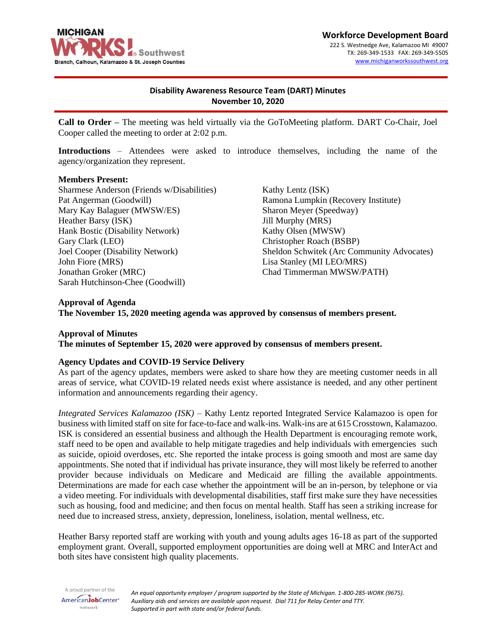

#### **Workforce Development Board** 222 S. Westnedge Ave, Kalamazoo MI 49007 TX: 269-349-1533 FAX: 269-349-5505 [www.michiganworkssouthwest.org](http://www.michiganworkssouthwest.org/)

# **Disability Awareness Resource Team (DART) Minutes November 10, 2020**

**Call to Order –** The meeting was held virtually via the GoToMeeting platform. DART Co-Chair, Joel Cooper called the meeting to order at 2:02 p.m.

**Introductions** – Attendees were asked to introduce themselves, including the name of the agency/organization they represent.

#### **Members Present:**

Sharmese Anderson (Friends w/Disabilities) Pat Angerman (Goodwill) Mary Kay Balaguer (MWSW/ES) Heather Barsy (ISK) Hank Bostic (Disability Network) Gary Clark (LEO) Joel Cooper (Disability Network) John Fiore (MRS) Jonathan Groker (MRC) Sarah Hutchinson-Chee (Goodwill)

Kathy Lentz (ISK) Ramona Lumpkin (Recovery Institute) Sharon Meyer (Speedway) Jill Murphy (MRS) Kathy Olsen (MWSW) Christopher Roach (BSBP) Sheldon Schwitek (Arc Community Advocates) Lisa Stanley (MI LEO/MRS) Chad Timmerman MWSW/PATH)

#### **Approval of Agenda**

**The November 15, 2020 meeting agenda was approved by consensus of members present.**

#### **Approval of Minutes**

**The minutes of September 15, 2020 were approved by consensus of members present.**

#### **Agency Updates and COVID-19 Service Delivery**

As part of the agency updates, members were asked to share how they are meeting customer needs in all areas of service, what COVID-19 related needs exist where assistance is needed, and any other pertinent information and announcements regarding their agency.

*Integrated Services Kalamazoo (ISK)* – Kathy Lentz reported Integrated Service Kalamazoo is open for business with limited staff on site for face-to-face and walk-ins. Walk-ins are at 615 Crosstown, Kalamazoo. ISK is considered an essential business and although the Health Department is encouraging remote work, staff need to be open and available to help mitigate tragedies and help individuals with emergencies such as suicide, opioid overdoses, etc. She reported the intake process is going smooth and most are same day appointments. She noted that if individual has private insurance, they will most likely be referred to another provider because individuals on Medicare and Medicaid are filling the available appointments. Determinations are made for each case whether the appointment will be an in-person, by telephone or via a video meeting. For individuals with developmental disabilities, staff first make sure they have necessities such as housing, food and medicine; and then focus on mental health. Staff has seen a striking increase for need due to increased stress, anxiety, depression, loneliness, isolation, mental wellness, etc.

Heather Barsy reported staff are working with youth and young adults ages 16-18 as part of the supported employment grant. Overall, supported employment opportunities are doing well at MRC and InterAct and both sites have consistent high quality placements.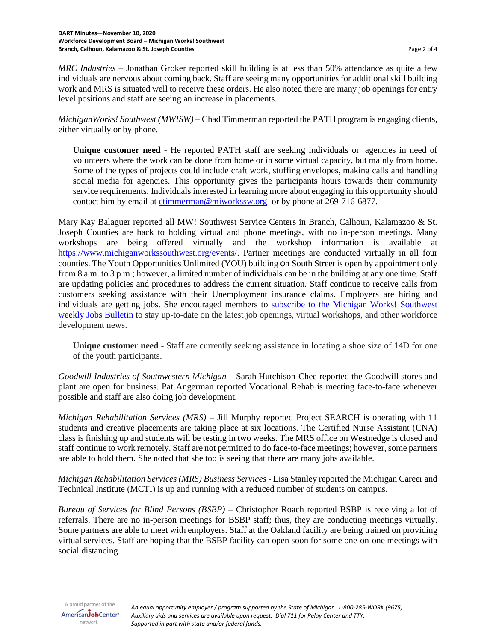*MRC Industries* – Jonathan Groker reported skill building is at less than 50% attendance as quite a few individuals are nervous about coming back. Staff are seeing many opportunities for additional skill building work and MRS is situated well to receive these orders. He also noted there are many job openings for entry level positions and staff are seeing an increase in placements.

*MichiganWorks! Southwest (MW!SW)* – Chad Timmerman reported the PATH program is engaging clients, either virtually or by phone.

**Unique customer need** - He reported PATH staff are seeking individuals or agencies in need of volunteers where the work can be done from home or in some virtual capacity, but mainly from home. Some of the types of projects could include craft work, stuffing envelopes, making calls and handling social media for agencies. This opportunity gives the participants hours towards their community service requirements. Individuals interested in learning more about engaging in this opportunity should contact him by email at [ctimmerman@miworkssw.org](mailto:ctimmerman@miworkssw.org) or by phone at 269-716-6877.

Mary Kay Balaguer reported all MW! Southwest Service Centers in Branch, Calhoun, Kalamazoo & St. Joseph Counties are back to holding virtual and phone meetings, with no in-person meetings. Many workshops are being offered virtually and the workshop information is available at [https://www.michiganworkssouthwest.org/events/.](https://www.michiganworkssouthwest.org/events/) Partner meetings are conducted virtually in all four counties. The Youth Opportunities Unlimited (YOU) building on South Street is open by appointment only from 8 a.m. to 3 p.m.; however, a limited number of individuals can be in the building at any one time. Staff are updating policies and procedures to address the current situation. Staff continue to receive calls from customers seeking assistance with their Unemployment insurance claims. Employers are hiring and individuals are getting jobs. She encouraged members to subscribe to the [Michigan Works!](https://gcc01.safelinks.protection.outlook.com/?url=https%3A%2F%2Fmadmimi.com%2Fsignups%2F231418%2Fjoin%3Fattempt_id%3D1184236-160328157-7086264396-7aef73816650fcfe02da65f2d71f883b2c2bcad8&data=04%7C01%7CBrottL%40michigan.gov%7C62ec2115554648bd8e8708d884ca35fe%7Cd5fb7087377742ad966a892ef47225d1%7C0%7C1%7C637405351317913470%7CUnknown%7CTWFpbGZsb3d8eyJWIjoiMC4wLjAwMDAiLCJQIjoiV2luMzIiLCJBTiI6Ik1haWwiLCJXVCI6Mn0%3D%7C2000&sdata=h%2Fqfip5YinD8QVfeCpYhCqxsJgF214Xhc9QYHO3bnTA%3D&reserved=0) Southwest [weekly Jobs Bulletin](https://gcc01.safelinks.protection.outlook.com/?url=https%3A%2F%2Fmadmimi.com%2Fsignups%2F231418%2Fjoin%3Fattempt_id%3D1184236-160328157-7086264396-7aef73816650fcfe02da65f2d71f883b2c2bcad8&data=04%7C01%7CBrottL%40michigan.gov%7C62ec2115554648bd8e8708d884ca35fe%7Cd5fb7087377742ad966a892ef47225d1%7C0%7C1%7C637405351317913470%7CUnknown%7CTWFpbGZsb3d8eyJWIjoiMC4wLjAwMDAiLCJQIjoiV2luMzIiLCJBTiI6Ik1haWwiLCJXVCI6Mn0%3D%7C2000&sdata=h%2Fqfip5YinD8QVfeCpYhCqxsJgF214Xhc9QYHO3bnTA%3D&reserved=0) to stay up-to-date on the latest job openings, virtual workshops, and other workforce development news.

**Unique customer need** - Staff are currently seeking assistance in locating a shoe size of 14D for one of the youth participants.

*Goodwill Industries of Southwestern Michigan* – Sarah Hutchison-Chee reported the Goodwill stores and plant are open for business. Pat Angerman reported Vocational Rehab is meeting face-to-face whenever possible and staff are also doing job development.

*Michigan Rehabilitation Services (MRS)* – Jill Murphy reported Project SEARCH is operating with 11 students and creative placements are taking place at six locations. The Certified Nurse Assistant (CNA) class is finishing up and students will be testing in two weeks. The MRS office on Westnedge is closed and staff continue to work remotely. Staff are not permitted to do face-to-face meetings; however, some partners are able to hold them. She noted that she too is seeing that there are many jobs available.

*Michigan Rehabilitation Services (MRS) Business Services* - Lisa Stanley reported the Michigan Career and Technical Institute (MCTI) is up and running with a reduced number of students on campus.

*Bureau of Services for Blind Persons (BSBP)* – Christopher Roach reported BSBP is receiving a lot of referrals. There are no in-person meetings for BSBP staff; thus, they are conducting meetings virtually. Some partners are able to meet with employers. Staff at the Oakland facility are being trained on providing virtual services. Staff are hoping that the BSBP facility can open soon for some one-on-one meetings with social distancing.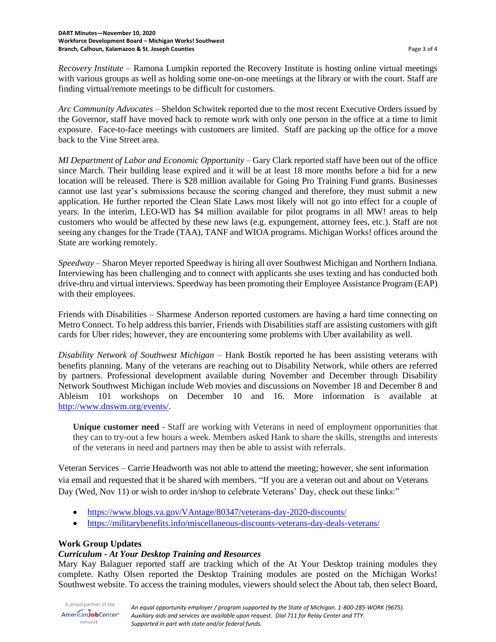*Recovery Institute* – Ramona Lumpkin reported the Recovery Institute is hosting online virtual meetings with various groups as well as holding some one-on-one meetings at the library or with the court. Staff are finding virtual/remote meetings to be difficult for customers.

*Arc Community Advocates* – Sheldon Schwitek reported due to the most recent Executive Orders issued by the Governor, staff have moved back to remote work with only one person in the office at a time to limit exposure. Face-to-face meetings with customers are limited. Staff are packing up the office for a move back to the Vine Street area.

*MI Department of Labor and Economic Opportunity* – Gary Clark reported staff have been out of the office since March. Their building lease expired and it will be at least 18 more months before a bid for a new location will be released. There is \$28 million available for Going Pro Training Fund grants. Businesses cannot use last year's submissions because the scoring changed and therefore, they must submit a new application. He further reported the Clean Slate Laws most likely will not go into effect for a couple of years. In the interim, LEO-WD has \$4 million available for pilot programs in all MW! areas to help customers who would be affected by these new laws (e.g. expungement, attorney fees, etc.). Staff are not seeing any changes for the Trade (TAA), TANF and WIOA programs. Michigan Works! offices around the State are working remotely.

*Speedway* – Sharon Meyer reported Speedway is hiring all over Southwest Michigan and Northern Indiana. Interviewing has been challenging and to connect with applicants she uses texting and has conducted both drive-thru and virtual interviews. Speedway has been promoting their Employee Assistance Program (EAP) with their employees.

Friends with Disabilities – Sharmese Anderson reported customers are having a hard time connecting on Metro Connect. To help address this barrier, Friends with Disabilities staff are assisting customers with gift cards for Uber rides; however, they are encountering some problems with Uber availability as well.

*Disability Network of Southwest Michigan* – Hank Bostik reported he has been assisting veterans with benefits planning. Many of the veterans are reaching out to Disability Network, while others are referred by partners. Professional development available during November and December through Disability Network Southwest Michigan include Web movies and discussions on November 18 and December 8 and Ableism 101 workshops on December 10 and 16. More information is available at [http://www.dnswm.org/events/.](http://www.dnswm.org/events/)

**Unique customer need** - Staff are working with Veterans in need of employment opportunities that they can to try-out a few hours a week. Members asked Hank to share the skills, strengths and interests of the veterans in need and partners may then be able to assist with referrals.

Veteran Services – Carrie Headworth was not able to attend the meeting; however, she sent information via email and requested that it be shared with members. "If you are a veteran out and about on Veterans Day (Wed, Nov 11) or wish to order in/shop to celebrate Veterans' Day, check out these links:"

- <https://www.blogs.va.gov/VAntage/80347/veterans-day-2020-discounts/>
- [https://militarybenefits.info/miscellaneous-discounts-veterans-day-deals-veterans/](https://gcc01.safelinks.protection.outlook.com/?url=https%3A%2F%2Fmilitarybenefits.info%2Fmiscellaneous-discounts-veterans-day-deals-veterans%2F&data=04%7C01%7CHeadworthC%40michigan.gov%7C015638ff738149b84e4008d884bdda67%7Cd5fb7087377742ad966a892ef47225d1%7C0%7C0%7C637405298229014065%7CUnknown%7CTWFpbGZsb3d8eyJWIjoiMC4wLjAwMDAiLCJQIjoiV2luMzIiLCJBTiI6Ik1haWwiLCJXVCI6Mn0%3D%7C1000&sdata=jh%2FYuoL5ZrHlB28edvHu0SnXLh6QAkQyq7nag%2BGVZPg%3D&reserved=0)

## **Work Group Updates**

## *Curriculum - At Your Desktop Training and Resources*

Mary Kay Balaguer reported staff are tracking which of the At Your Desktop training modules they complete. Kathy Olsen reported the Desktop Training modules are posted on the Michigan Works! Southwest website. To access the training modules, viewers should select the About tab, then select Board,